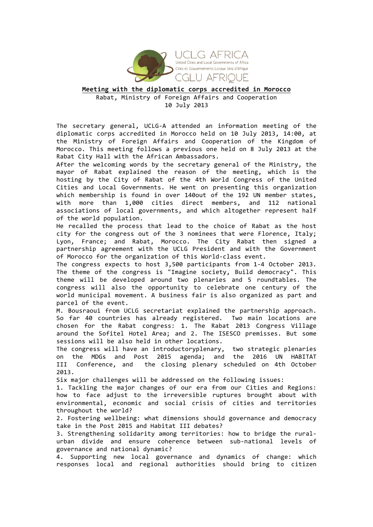

## **Meeting'with'the'diplomatic'corps'accredited'in'Morocco** Rabat, Ministry of Foreign Affairs and Cooperation 10 July 2013

The secretary general, UCLG-A attended an information meeting of the diplomatic corps accredited in Morocco held on 10 July 2013, 14:00, at the Ministry of Foreign Affairs and Cooperation of the Kingdom of Morocco. This meeting follows a previous one held on 8 July 2013 at the Rabat City Hall with the African Ambassadors.

After the welcoming words by the secretary general of the Ministry, the mayor of Rabat explained the reason of the meeting, which is the hosting by the City of Rabat of the 4th World Congress of the United Cities and Local Governments. He went on presenting this organization which membership is found in over 140out of the 192 UN member states, with more than 1,000 cities direct members, and 112 national associations of local governments, and which altogether represent half of the world population.

He recalled the process that lead to the choice of Rabat as the host city for the congress out of the 3 nominees that were Florence, Italy; Lyon, France; and Rabat, Morocco. The City Rabat then signed a partnership agreement with the UCLG President and with the Government of Morocco for the organization of this World-class event.

The congress expects to host 3,500 participants from 1-4 October 2013. The theme of the congress is "Imagine society, Build democracy". This theme will be developed around two plenaries and 5 roundtables. The congress will also the opportunity to celebrate one century of the world municipal movement. A business fair is also organized as part and parcel of the event.

M. Bousraoui from UCLG secretariat explained the partnership approach. So far 40 countries has already registered. Two main locations are chosen for the Rabat congress: 1. The Rabat 2013 Congress Village around the Sofitel Hotel Area; and 2. The ISESCO premisses. But some sessions will be also held in other locations.

The congress will have an introductoryplenary, two strategic plenaries on the MDGs and Post 2015 agenda; and the 2016 UN HABITAT III Conference, and the closing plenary scheduled on 4th October 2013.&

Six major challenges will be addressed on the following issues:

1. Tackling the major changes of our era from our Cities and Regions: how to face adjust to the irreversible ruptures brought about with environmental, economic and social crisis of cities and territories throughout the world?

2. Fostering wellbeing: what dimensions should governance and democracy take in the Post 2015 and Habitat III debates?

3. Strengthening solidarity among territories: how to bridge the ruralurban divide and ensure coherence between sub-national levels of governance and national dynamic?

4. Supporting new local governance and dynamics of change: which responses local and regional authorities should bring to citizen